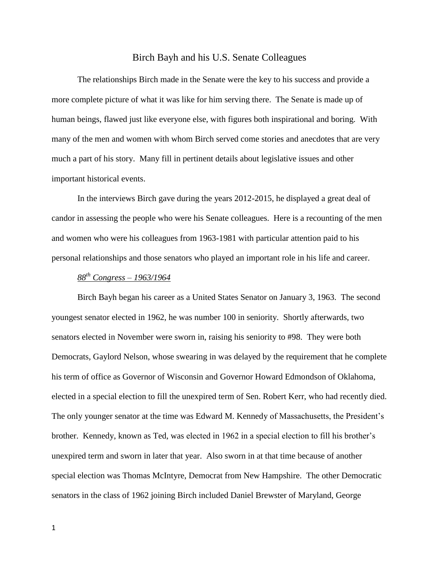## Birch Bayh and his U.S. Senate Colleagues

The relationships Birch made in the Senate were the key to his success and provide a more complete picture of what it was like for him serving there. The Senate is made up of human beings, flawed just like everyone else, with figures both inspirational and boring. With many of the men and women with whom Birch served come stories and anecdotes that are very much a part of his story. Many fill in pertinent details about legislative issues and other important historical events.

In the interviews Birch gave during the years 2012-2015, he displayed a great deal of candor in assessing the people who were his Senate colleagues. Here is a recounting of the men and women who were his colleagues from 1963-1981 with particular attention paid to his personal relationships and those senators who played an important role in his life and career.

# *88th Congress – 1963/1964*

Birch Bayh began his career as a United States Senator on January 3, 1963. The second youngest senator elected in 1962, he was number 100 in seniority. Shortly afterwards, two senators elected in November were sworn in, raising his seniority to #98. They were both Democrats, Gaylord Nelson, whose swearing in was delayed by the requirement that he complete his term of office as Governor of Wisconsin and Governor Howard Edmondson of Oklahoma, elected in a special election to fill the unexpired term of Sen. Robert Kerr, who had recently died. The only younger senator at the time was Edward M. Kennedy of Massachusetts, the President's brother. Kennedy, known as Ted, was elected in 1962 in a special election to fill his brother's unexpired term and sworn in later that year. Also sworn in at that time because of another special election was Thomas McIntyre, Democrat from New Hampshire. The other Democratic senators in the class of 1962 joining Birch included Daniel Brewster of Maryland, George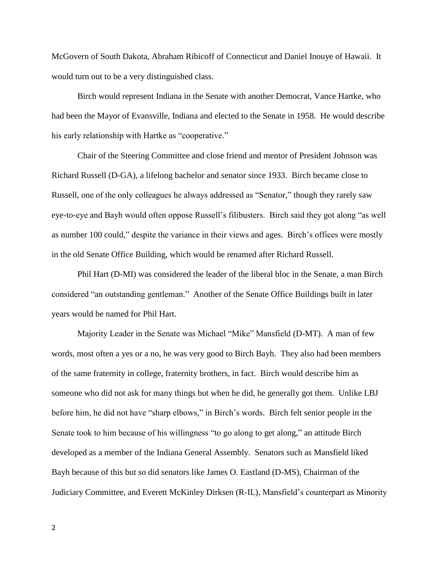McGovern of South Dakota, Abraham Ribicoff of Connecticut and Daniel Inouye of Hawaii. It would turn out to be a very distinguished class.

Birch would represent Indiana in the Senate with another Democrat, Vance Hartke, who had been the Mayor of Evansville, Indiana and elected to the Senate in 1958. He would describe his early relationship with Hartke as "cooperative."

Chair of the Steering Committee and close friend and mentor of President Johnson was Richard Russell (D-GA), a lifelong bachelor and senator since 1933. Birch became close to Russell, one of the only colleagues he always addressed as "Senator," though they rarely saw eye-to-eye and Bayh would often oppose Russell's filibusters. Birch said they got along "as well as number 100 could," despite the variance in their views and ages. Birch's offices were mostly in the old Senate Office Building, which would be renamed after Richard Russell.

Phil Hart (D-MI) was considered the leader of the liberal bloc in the Senate, a man Birch considered "an outstanding gentleman." Another of the Senate Office Buildings built in later years would be named for Phil Hart.

Majority Leader in the Senate was Michael "Mike" Mansfield (D-MT). A man of few words, most often a yes or a no, he was very good to Birch Bayh. They also had been members of the same fraternity in college, fraternity brothers, in fact. Birch would describe him as someone who did not ask for many things but when he did, he generally got them. Unlike LBJ before him, he did not have "sharp elbows," in Birch's words. Birch felt senior people in the Senate took to him because of his willingness "to go along to get along," an attitude Birch developed as a member of the Indiana General Assembly. Senators such as Mansfield liked Bayh because of this but so did senators like James O. Eastland (D-MS), Chairman of the Judiciary Committee, and Everett McKinley Dirksen (R-IL), Mansfield's counterpart as Minority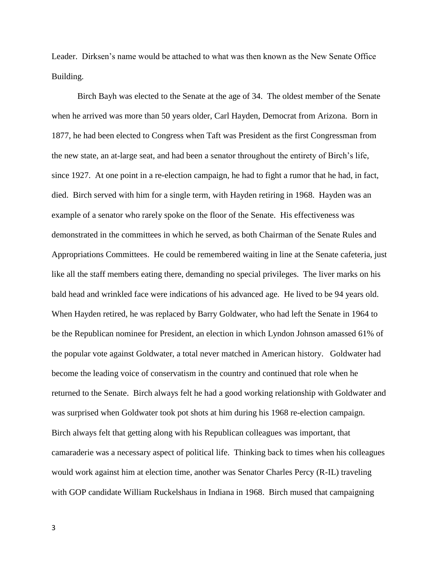Leader. Dirksen's name would be attached to what was then known as the New Senate Office Building.

Birch Bayh was elected to the Senate at the age of 34. The oldest member of the Senate when he arrived was more than 50 years older, Carl Hayden, Democrat from Arizona. Born in 1877, he had been elected to Congress when Taft was President as the first Congressman from the new state, an at-large seat, and had been a senator throughout the entirety of Birch's life, since 1927. At one point in a re-election campaign, he had to fight a rumor that he had, in fact, died. Birch served with him for a single term, with Hayden retiring in 1968. Hayden was an example of a senator who rarely spoke on the floor of the Senate. His effectiveness was demonstrated in the committees in which he served, as both Chairman of the Senate Rules and Appropriations Committees. He could be remembered waiting in line at the Senate cafeteria, just like all the staff members eating there, demanding no special privileges. The liver marks on his bald head and wrinkled face were indications of his advanced age. He lived to be 94 years old. When Hayden retired, he was replaced by Barry Goldwater, who had left the Senate in 1964 to be the Republican nominee for President, an election in which Lyndon Johnson amassed 61% of the popular vote against Goldwater, a total never matched in American history. Goldwater had become the leading voice of conservatism in the country and continued that role when he returned to the Senate. Birch always felt he had a good working relationship with Goldwater and was surprised when Goldwater took pot shots at him during his 1968 re-election campaign. Birch always felt that getting along with his Republican colleagues was important, that camaraderie was a necessary aspect of political life. Thinking back to times when his colleagues would work against him at election time, another was Senator Charles Percy (R-IL) traveling with GOP candidate William Ruckelshaus in Indiana in 1968. Birch mused that campaigning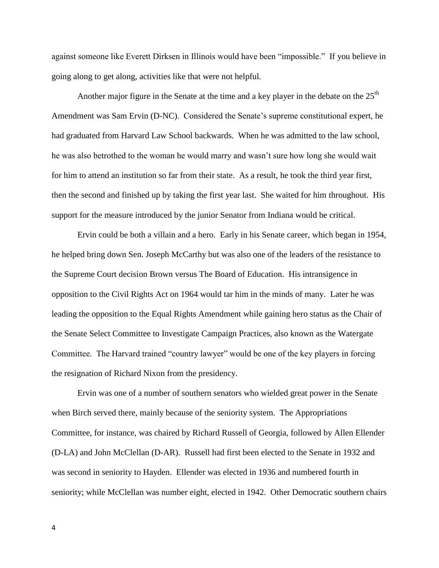against someone like Everett Dirksen in Illinois would have been "impossible." If you believe in going along to get along, activities like that were not helpful.

Another major figure in the Senate at the time and a key player in the debate on the  $25<sup>th</sup>$ Amendment was Sam Ervin (D-NC). Considered the Senate's supreme constitutional expert, he had graduated from Harvard Law School backwards. When he was admitted to the law school, he was also betrothed to the woman he would marry and wasn't sure how long she would wait for him to attend an institution so far from their state. As a result, he took the third year first, then the second and finished up by taking the first year last. She waited for him throughout. His support for the measure introduced by the junior Senator from Indiana would be critical.

Ervin could be both a villain and a hero. Early in his Senate career, which began in 1954, he helped bring down Sen. Joseph McCarthy but was also one of the leaders of the resistance to the Supreme Court decision Brown versus The Board of Education. His intransigence in opposition to the Civil Rights Act on 1964 would tar him in the minds of many. Later he was leading the opposition to the Equal Rights Amendment while gaining hero status as the Chair of the Senate Select Committee to Investigate Campaign Practices, also known as the Watergate Committee. The Harvard trained "country lawyer" would be one of the key players in forcing the resignation of Richard Nixon from the presidency.

Ervin was one of a number of southern senators who wielded great power in the Senate when Birch served there, mainly because of the seniority system. The Appropriations Committee, for instance, was chaired by Richard Russell of Georgia, followed by Allen Ellender (D-LA) and John McClellan (D-AR). Russell had first been elected to the Senate in 1932 and was second in seniority to Hayden. Ellender was elected in 1936 and numbered fourth in seniority; while McClellan was number eight, elected in 1942. Other Democratic southern chairs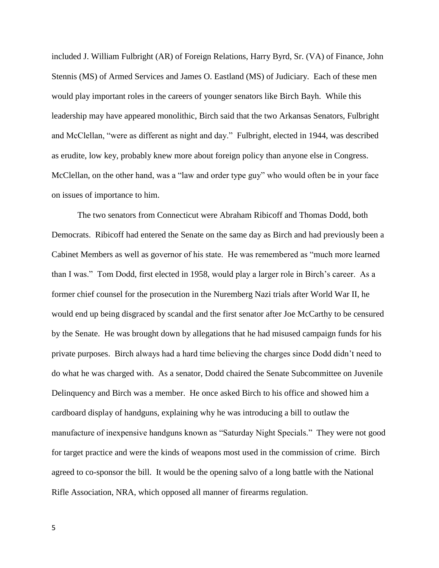included J. William Fulbright (AR) of Foreign Relations, Harry Byrd, Sr. (VA) of Finance, John Stennis (MS) of Armed Services and James O. Eastland (MS) of Judiciary. Each of these men would play important roles in the careers of younger senators like Birch Bayh. While this leadership may have appeared monolithic, Birch said that the two Arkansas Senators, Fulbright and McClellan, "were as different as night and day." Fulbright, elected in 1944, was described as erudite, low key, probably knew more about foreign policy than anyone else in Congress. McClellan, on the other hand, was a "law and order type guy" who would often be in your face on issues of importance to him.

The two senators from Connecticut were Abraham Ribicoff and Thomas Dodd, both Democrats. Ribicoff had entered the Senate on the same day as Birch and had previously been a Cabinet Members as well as governor of his state. He was remembered as "much more learned than I was." Tom Dodd, first elected in 1958, would play a larger role in Birch's career. As a former chief counsel for the prosecution in the Nuremberg Nazi trials after World War II, he would end up being disgraced by scandal and the first senator after Joe McCarthy to be censured by the Senate. He was brought down by allegations that he had misused campaign funds for his private purposes. Birch always had a hard time believing the charges since Dodd didn't need to do what he was charged with. As a senator, Dodd chaired the Senate Subcommittee on Juvenile Delinquency and Birch was a member. He once asked Birch to his office and showed him a cardboard display of handguns, explaining why he was introducing a bill to outlaw the manufacture of inexpensive handguns known as "Saturday Night Specials." They were not good for target practice and were the kinds of weapons most used in the commission of crime. Birch agreed to co-sponsor the bill. It would be the opening salvo of a long battle with the National Rifle Association, NRA, which opposed all manner of firearms regulation.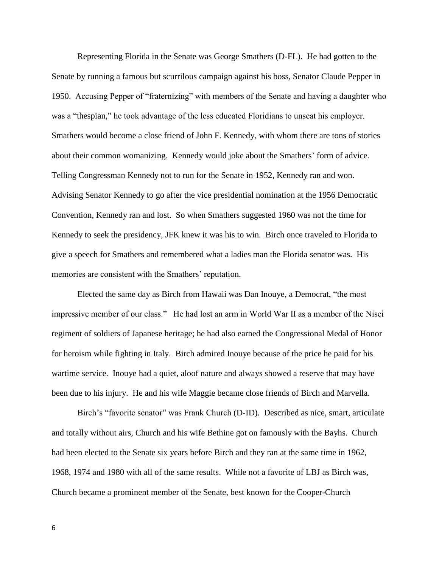Representing Florida in the Senate was George Smathers (D-FL). He had gotten to the Senate by running a famous but scurrilous campaign against his boss, Senator Claude Pepper in 1950. Accusing Pepper of "fraternizing" with members of the Senate and having a daughter who was a "thespian," he took advantage of the less educated Floridians to unseat his employer. Smathers would become a close friend of John F. Kennedy, with whom there are tons of stories about their common womanizing. Kennedy would joke about the Smathers' form of advice. Telling Congressman Kennedy not to run for the Senate in 1952, Kennedy ran and won. Advising Senator Kennedy to go after the vice presidential nomination at the 1956 Democratic Convention, Kennedy ran and lost. So when Smathers suggested 1960 was not the time for Kennedy to seek the presidency, JFK knew it was his to win. Birch once traveled to Florida to give a speech for Smathers and remembered what a ladies man the Florida senator was. His memories are consistent with the Smathers' reputation.

Elected the same day as Birch from Hawaii was Dan Inouye, a Democrat, "the most impressive member of our class." He had lost an arm in World War II as a member of the Nisei regiment of soldiers of Japanese heritage; he had also earned the Congressional Medal of Honor for heroism while fighting in Italy. Birch admired Inouye because of the price he paid for his wartime service. Inouye had a quiet, aloof nature and always showed a reserve that may have been due to his injury. He and his wife Maggie became close friends of Birch and Marvella.

Birch's "favorite senator" was Frank Church (D-ID). Described as nice, smart, articulate and totally without airs, Church and his wife Bethine got on famously with the Bayhs. Church had been elected to the Senate six years before Birch and they ran at the same time in 1962, 1968, 1974 and 1980 with all of the same results. While not a favorite of LBJ as Birch was, Church became a prominent member of the Senate, best known for the Cooper-Church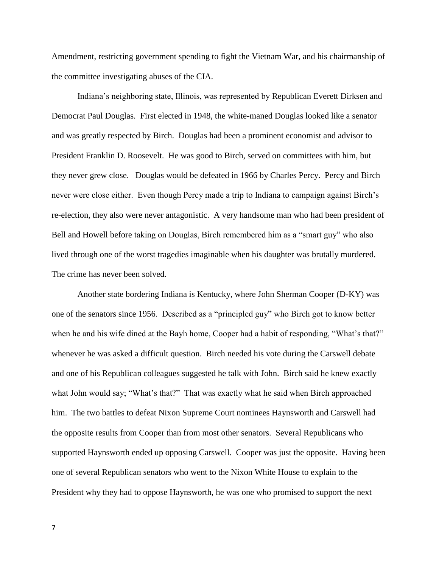Amendment, restricting government spending to fight the Vietnam War, and his chairmanship of the committee investigating abuses of the CIA.

Indiana's neighboring state, Illinois, was represented by Republican Everett Dirksen and Democrat Paul Douglas. First elected in 1948, the white-maned Douglas looked like a senator and was greatly respected by Birch. Douglas had been a prominent economist and advisor to President Franklin D. Roosevelt. He was good to Birch, served on committees with him, but they never grew close. Douglas would be defeated in 1966 by Charles Percy. Percy and Birch never were close either. Even though Percy made a trip to Indiana to campaign against Birch's re-election, they also were never antagonistic. A very handsome man who had been president of Bell and Howell before taking on Douglas, Birch remembered him as a "smart guy" who also lived through one of the worst tragedies imaginable when his daughter was brutally murdered. The crime has never been solved.

Another state bordering Indiana is Kentucky, where John Sherman Cooper (D-KY) was one of the senators since 1956. Described as a "principled guy" who Birch got to know better when he and his wife dined at the Bayh home, Cooper had a habit of responding, "What's that?" whenever he was asked a difficult question. Birch needed his vote during the Carswell debate and one of his Republican colleagues suggested he talk with John. Birch said he knew exactly what John would say; "What's that?" That was exactly what he said when Birch approached him. The two battles to defeat Nixon Supreme Court nominees Haynsworth and Carswell had the opposite results from Cooper than from most other senators. Several Republicans who supported Haynsworth ended up opposing Carswell. Cooper was just the opposite. Having been one of several Republican senators who went to the Nixon White House to explain to the President why they had to oppose Haynsworth, he was one who promised to support the next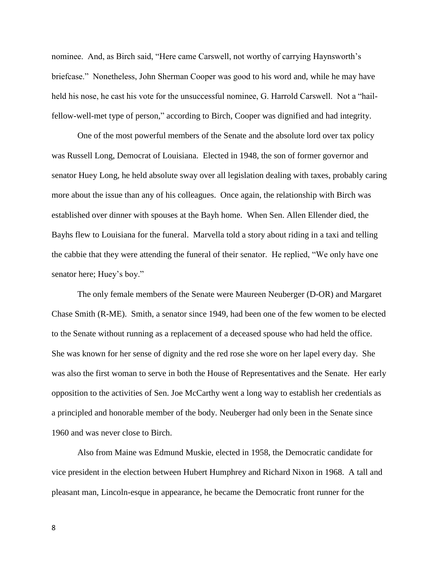nominee. And, as Birch said, "Here came Carswell, not worthy of carrying Haynsworth's briefcase." Nonetheless, John Sherman Cooper was good to his word and, while he may have held his nose, he cast his vote for the unsuccessful nominee, G. Harrold Carswell. Not a "hailfellow-well-met type of person," according to Birch, Cooper was dignified and had integrity.

One of the most powerful members of the Senate and the absolute lord over tax policy was Russell Long, Democrat of Louisiana. Elected in 1948, the son of former governor and senator Huey Long, he held absolute sway over all legislation dealing with taxes, probably caring more about the issue than any of his colleagues. Once again, the relationship with Birch was established over dinner with spouses at the Bayh home. When Sen. Allen Ellender died, the Bayhs flew to Louisiana for the funeral. Marvella told a story about riding in a taxi and telling the cabbie that they were attending the funeral of their senator. He replied, "We only have one senator here; Huey's boy."

The only female members of the Senate were Maureen Neuberger (D-OR) and Margaret Chase Smith (R-ME). Smith, a senator since 1949, had been one of the few women to be elected to the Senate without running as a replacement of a deceased spouse who had held the office. She was known for her sense of dignity and the red rose she wore on her lapel every day. She was also the first woman to serve in both the House of Representatives and the Senate. Her early opposition to the activities of Sen. Joe McCarthy went a long way to establish her credentials as a principled and honorable member of the body. Neuberger had only been in the Senate since 1960 and was never close to Birch.

Also from Maine was Edmund Muskie, elected in 1958, the Democratic candidate for vice president in the election between Hubert Humphrey and Richard Nixon in 1968. A tall and pleasant man, Lincoln-esque in appearance, he became the Democratic front runner for the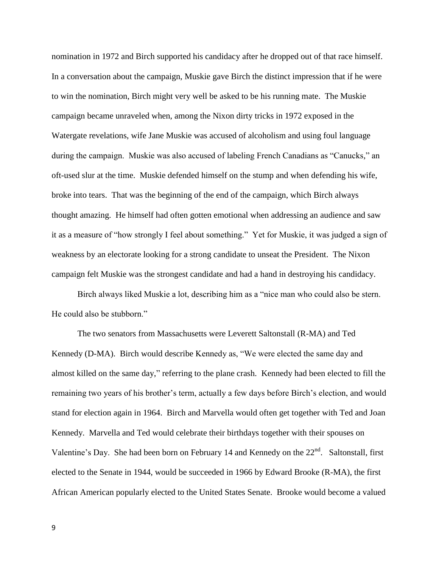nomination in 1972 and Birch supported his candidacy after he dropped out of that race himself. In a conversation about the campaign, Muskie gave Birch the distinct impression that if he were to win the nomination, Birch might very well be asked to be his running mate. The Muskie campaign became unraveled when, among the Nixon dirty tricks in 1972 exposed in the Watergate revelations, wife Jane Muskie was accused of alcoholism and using foul language during the campaign. Muskie was also accused of labeling French Canadians as "Canucks," an oft-used slur at the time. Muskie defended himself on the stump and when defending his wife, broke into tears. That was the beginning of the end of the campaign, which Birch always thought amazing. He himself had often gotten emotional when addressing an audience and saw it as a measure of "how strongly I feel about something." Yet for Muskie, it was judged a sign of weakness by an electorate looking for a strong candidate to unseat the President. The Nixon campaign felt Muskie was the strongest candidate and had a hand in destroying his candidacy.

Birch always liked Muskie a lot, describing him as a "nice man who could also be stern. He could also be stubborn."

The two senators from Massachusetts were Leverett Saltonstall (R-MA) and Ted Kennedy (D-MA). Birch would describe Kennedy as, "We were elected the same day and almost killed on the same day," referring to the plane crash. Kennedy had been elected to fill the remaining two years of his brother's term, actually a few days before Birch's election, and would stand for election again in 1964. Birch and Marvella would often get together with Ted and Joan Kennedy. Marvella and Ted would celebrate their birthdays together with their spouses on Valentine's Day. She had been born on February 14 and Kennedy on the  $22<sup>nd</sup>$ . Saltonstall, first elected to the Senate in 1944, would be succeeded in 1966 by Edward Brooke (R-MA), the first African American popularly elected to the United States Senate. Brooke would become a valued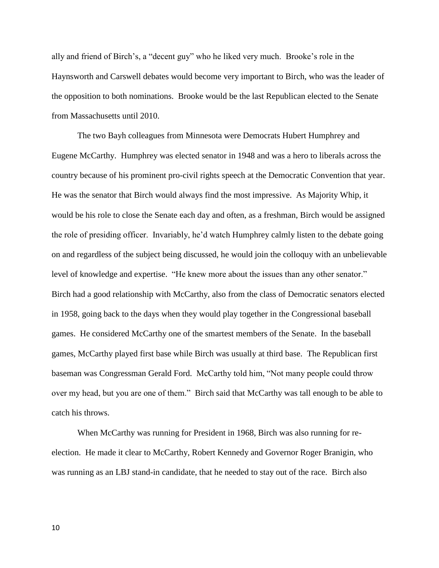ally and friend of Birch's, a "decent guy" who he liked very much. Brooke's role in the Haynsworth and Carswell debates would become very important to Birch, who was the leader of the opposition to both nominations. Brooke would be the last Republican elected to the Senate from Massachusetts until 2010.

The two Bayh colleagues from Minnesota were Democrats Hubert Humphrey and Eugene McCarthy. Humphrey was elected senator in 1948 and was a hero to liberals across the country because of his prominent pro-civil rights speech at the Democratic Convention that year. He was the senator that Birch would always find the most impressive. As Majority Whip, it would be his role to close the Senate each day and often, as a freshman, Birch would be assigned the role of presiding officer. Invariably, he'd watch Humphrey calmly listen to the debate going on and regardless of the subject being discussed, he would join the colloquy with an unbelievable level of knowledge and expertise. "He knew more about the issues than any other senator." Birch had a good relationship with McCarthy, also from the class of Democratic senators elected in 1958, going back to the days when they would play together in the Congressional baseball games. He considered McCarthy one of the smartest members of the Senate. In the baseball games, McCarthy played first base while Birch was usually at third base. The Republican first baseman was Congressman Gerald Ford. McCarthy told him, "Not many people could throw over my head, but you are one of them." Birch said that McCarthy was tall enough to be able to catch his throws.

When McCarthy was running for President in 1968, Birch was also running for reelection. He made it clear to McCarthy, Robert Kennedy and Governor Roger Branigin, who was running as an LBJ stand-in candidate, that he needed to stay out of the race. Birch also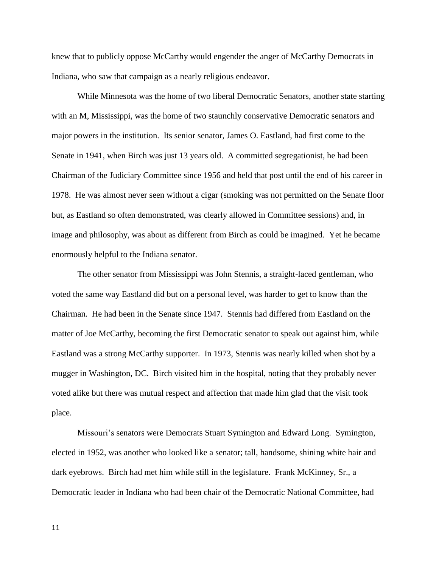knew that to publicly oppose McCarthy would engender the anger of McCarthy Democrats in Indiana, who saw that campaign as a nearly religious endeavor.

While Minnesota was the home of two liberal Democratic Senators, another state starting with an M, Mississippi, was the home of two staunchly conservative Democratic senators and major powers in the institution. Its senior senator, James O. Eastland, had first come to the Senate in 1941, when Birch was just 13 years old. A committed segregationist, he had been Chairman of the Judiciary Committee since 1956 and held that post until the end of his career in 1978. He was almost never seen without a cigar (smoking was not permitted on the Senate floor but, as Eastland so often demonstrated, was clearly allowed in Committee sessions) and, in image and philosophy, was about as different from Birch as could be imagined. Yet he became enormously helpful to the Indiana senator.

The other senator from Mississippi was John Stennis, a straight-laced gentleman, who voted the same way Eastland did but on a personal level, was harder to get to know than the Chairman. He had been in the Senate since 1947. Stennis had differed from Eastland on the matter of Joe McCarthy, becoming the first Democratic senator to speak out against him, while Eastland was a strong McCarthy supporter. In 1973, Stennis was nearly killed when shot by a mugger in Washington, DC. Birch visited him in the hospital, noting that they probably never voted alike but there was mutual respect and affection that made him glad that the visit took place.

Missouri's senators were Democrats Stuart Symington and Edward Long. Symington, elected in 1952, was another who looked like a senator; tall, handsome, shining white hair and dark eyebrows. Birch had met him while still in the legislature. Frank McKinney, Sr., a Democratic leader in Indiana who had been chair of the Democratic National Committee, had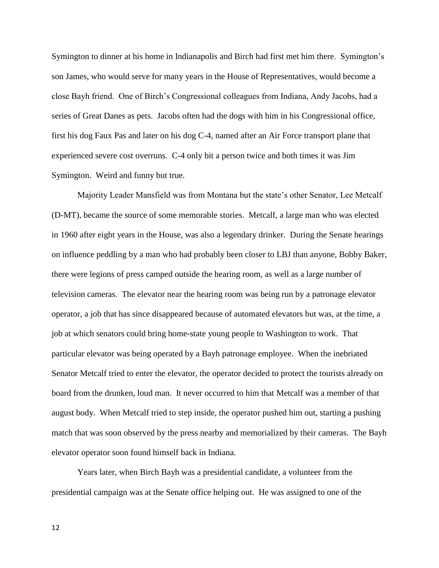Symington to dinner at his home in Indianapolis and Birch had first met him there. Symington's son James, who would serve for many years in the House of Representatives, would become a close Bayh friend. One of Birch's Congressional colleagues from Indiana, Andy Jacobs, had a series of Great Danes as pets. Jacobs often had the dogs with him in his Congressional office, first his dog Faux Pas and later on his dog C-4, named after an Air Force transport plane that experienced severe cost overruns. C-4 only bit a person twice and both times it was Jim Symington. Weird and funny but true.

Majority Leader Mansfield was from Montana but the state's other Senator, Lee Metcalf (D-MT), became the source of some memorable stories. Metcalf, a large man who was elected in 1960 after eight years in the House, was also a legendary drinker. During the Senate hearings on influence peddling by a man who had probably been closer to LBJ than anyone, Bobby Baker, there were legions of press camped outside the hearing room, as well as a large number of television cameras. The elevator near the hearing room was being run by a patronage elevator operator, a job that has since disappeared because of automated elevators but was, at the time, a job at which senators could bring home-state young people to Washington to work. That particular elevator was being operated by a Bayh patronage employee. When the inebriated Senator Metcalf tried to enter the elevator, the operator decided to protect the tourists already on board from the drunken, loud man. It never occurred to him that Metcalf was a member of that august body. When Metcalf tried to step inside, the operator pushed him out, starting a pushing match that was soon observed by the press nearby and memorialized by their cameras. The Bayh elevator operator soon found himself back in Indiana.

Years later, when Birch Bayh was a presidential candidate, a volunteer from the presidential campaign was at the Senate office helping out. He was assigned to one of the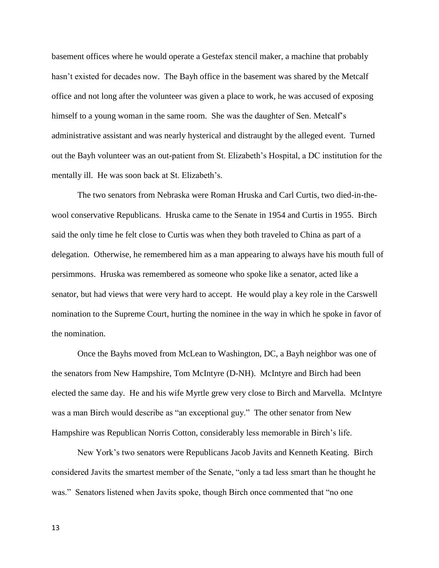basement offices where he would operate a Gestefax stencil maker, a machine that probably hasn't existed for decades now. The Bayh office in the basement was shared by the Metcalf office and not long after the volunteer was given a place to work, he was accused of exposing himself to a young woman in the same room. She was the daughter of Sen. Metcalf's administrative assistant and was nearly hysterical and distraught by the alleged event. Turned out the Bayh volunteer was an out-patient from St. Elizabeth's Hospital, a DC institution for the mentally ill. He was soon back at St. Elizabeth's.

The two senators from Nebraska were Roman Hruska and Carl Curtis, two died-in-thewool conservative Republicans. Hruska came to the Senate in 1954 and Curtis in 1955. Birch said the only time he felt close to Curtis was when they both traveled to China as part of a delegation. Otherwise, he remembered him as a man appearing to always have his mouth full of persimmons. Hruska was remembered as someone who spoke like a senator, acted like a senator, but had views that were very hard to accept. He would play a key role in the Carswell nomination to the Supreme Court, hurting the nominee in the way in which he spoke in favor of the nomination.

Once the Bayhs moved from McLean to Washington, DC, a Bayh neighbor was one of the senators from New Hampshire, Tom McIntyre (D-NH). McIntyre and Birch had been elected the same day. He and his wife Myrtle grew very close to Birch and Marvella. McIntyre was a man Birch would describe as "an exceptional guy." The other senator from New Hampshire was Republican Norris Cotton, considerably less memorable in Birch's life.

New York's two senators were Republicans Jacob Javits and Kenneth Keating. Birch considered Javits the smartest member of the Senate, "only a tad less smart than he thought he was." Senators listened when Javits spoke, though Birch once commented that "no one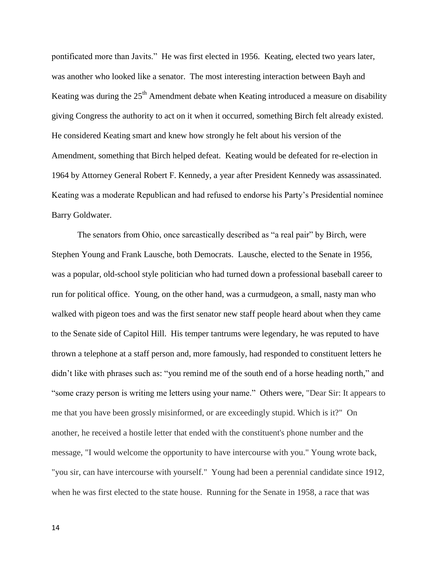pontificated more than Javits." He was first elected in 1956. Keating, elected two years later, was another who looked like a senator. The most interesting interaction between Bayh and Keating was during the  $25<sup>th</sup>$  Amendment debate when Keating introduced a measure on disability giving Congress the authority to act on it when it occurred, something Birch felt already existed. He considered Keating smart and knew how strongly he felt about his version of the Amendment, something that Birch helped defeat. Keating would be defeated for re-election in 1964 by Attorney General Robert F. Kennedy, a year after President Kennedy was assassinated. Keating was a moderate Republican and had refused to endorse his Party's Presidential nominee Barry Goldwater.

The senators from Ohio, once sarcastically described as "a real pair" by Birch, were Stephen Young and Frank Lausche, both Democrats. Lausche, elected to the Senate in 1956, was a popular, old-school style politician who had turned down a professional baseball career to run for political office. Young, on the other hand, was a curmudgeon, a small, nasty man who walked with pigeon toes and was the first senator new staff people heard about when they came to the Senate side of Capitol Hill. His temper tantrums were legendary, he was reputed to have thrown a telephone at a staff person and, more famously, had responded to constituent letters he didn't like with phrases such as: "you remind me of the south end of a horse heading north," and "some crazy person is writing me letters using your name." Others were, "Dear Sir: It appears to me that you have been grossly misinformed, or are exceedingly stupid. Which is it?" On another, he received a hostile letter that ended with the constituent's phone number and the message, "I would welcome the opportunity to have intercourse with you." Young wrote back, "you sir, can have intercourse with yourself." Young had been a perennial candidate since 1912, when he was first elected to the state house. Running for the Senate in 1958, a race that was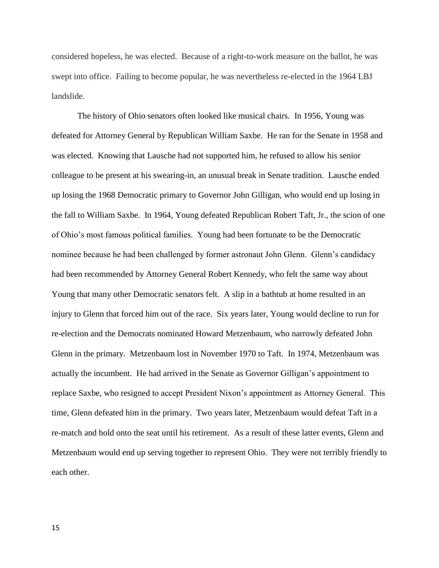considered hopeless, he was elected. Because of a right-to-work measure on the ballot, he was swept into office. Failing to become popular, he was nevertheless re-elected in the 1964 LBJ landslide.

The history of Ohio senators often looked like musical chairs. In 1956, Young was defeated for Attorney General by Republican William Saxbe. He ran for the Senate in 1958 and was elected. Knowing that Lausche had not supported him, he refused to allow his senior colleague to be present at his swearing-in, an unusual break in Senate tradition. Lausche ended up losing the 1968 Democratic primary to Governor John Gilligan, who would end up losing in the fall to William Saxbe. In 1964, Young defeated Republican Robert Taft, Jr., the scion of one of Ohio's most famous political families. Young had been fortunate to be the Democratic nominee because he had been challenged by former astronaut John Glenn. Glenn's candidacy had been recommended by Attorney General Robert Kennedy, who felt the same way about Young that many other Democratic senators felt. A slip in a bathtub at home resulted in an injury to Glenn that forced him out of the race. Six years later, Young would decline to run for re-election and the Democrats nominated Howard Metzenbaum, who narrowly defeated John Glenn in the primary. Metzenbaum lost in November 1970 to Taft. In 1974, Metzenbaum was actually the incumbent. He had arrived in the Senate as Governor Gilligan's appointment to replace Saxbe, who resigned to accept President Nixon's appointment as Attorney General. This time, Glenn defeated him in the primary. Two years later, Metzenbaum would defeat Taft in a re-match and hold onto the seat until his retirement. As a result of these latter events, Glenn and Metzenbaum would end up serving together to represent Ohio. They were not terribly friendly to each other.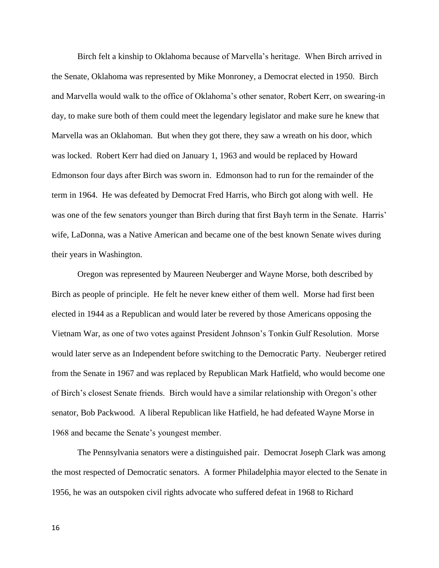Birch felt a kinship to Oklahoma because of Marvella's heritage. When Birch arrived in the Senate, Oklahoma was represented by Mike Monroney, a Democrat elected in 1950. Birch and Marvella would walk to the office of Oklahoma's other senator, Robert Kerr, on swearing-in day, to make sure both of them could meet the legendary legislator and make sure he knew that Marvella was an Oklahoman. But when they got there, they saw a wreath on his door, which was locked. Robert Kerr had died on January 1, 1963 and would be replaced by Howard Edmonson four days after Birch was sworn in. Edmonson had to run for the remainder of the term in 1964. He was defeated by Democrat Fred Harris, who Birch got along with well. He was one of the few senators younger than Birch during that first Bayh term in the Senate. Harris' wife, LaDonna, was a Native American and became one of the best known Senate wives during their years in Washington.

Oregon was represented by Maureen Neuberger and Wayne Morse, both described by Birch as people of principle. He felt he never knew either of them well. Morse had first been elected in 1944 as a Republican and would later be revered by those Americans opposing the Vietnam War, as one of two votes against President Johnson's Tonkin Gulf Resolution. Morse would later serve as an Independent before switching to the Democratic Party. Neuberger retired from the Senate in 1967 and was replaced by Republican Mark Hatfield, who would become one of Birch's closest Senate friends. Birch would have a similar relationship with Oregon's other senator, Bob Packwood. A liberal Republican like Hatfield, he had defeated Wayne Morse in 1968 and became the Senate's youngest member.

The Pennsylvania senators were a distinguished pair. Democrat Joseph Clark was among the most respected of Democratic senators. A former Philadelphia mayor elected to the Senate in 1956, he was an outspoken civil rights advocate who suffered defeat in 1968 to Richard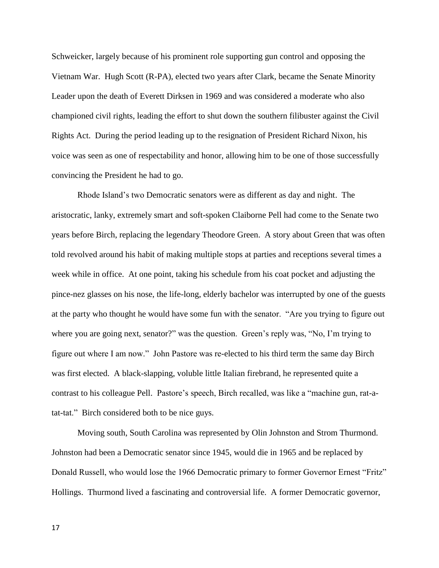Schweicker, largely because of his prominent role supporting gun control and opposing the Vietnam War. Hugh Scott (R-PA), elected two years after Clark, became the Senate Minority Leader upon the death of Everett Dirksen in 1969 and was considered a moderate who also championed civil rights, leading the effort to shut down the southern filibuster against the Civil Rights Act. During the period leading up to the resignation of President Richard Nixon, his voice was seen as one of respectability and honor, allowing him to be one of those successfully convincing the President he had to go.

Rhode Island's two Democratic senators were as different as day and night. The aristocratic, lanky, extremely smart and soft-spoken Claiborne Pell had come to the Senate two years before Birch, replacing the legendary Theodore Green. A story about Green that was often told revolved around his habit of making multiple stops at parties and receptions several times a week while in office. At one point, taking his schedule from his coat pocket and adjusting the pince-nez glasses on his nose, the life-long, elderly bachelor was interrupted by one of the guests at the party who thought he would have some fun with the senator. "Are you trying to figure out where you are going next, senator?" was the question. Green's reply was, "No, I'm trying to figure out where I am now." John Pastore was re-elected to his third term the same day Birch was first elected. A black-slapping, voluble little Italian firebrand, he represented quite a contrast to his colleague Pell. Pastore's speech, Birch recalled, was like a "machine gun, rat-atat-tat." Birch considered both to be nice guys.

Moving south, South Carolina was represented by Olin Johnston and Strom Thurmond. Johnston had been a Democratic senator since 1945, would die in 1965 and be replaced by Donald Russell, who would lose the 1966 Democratic primary to former Governor Ernest "Fritz" Hollings. Thurmond lived a fascinating and controversial life. A former Democratic governor,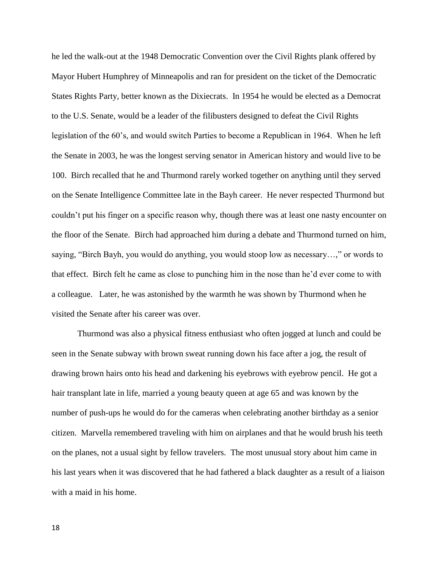he led the walk-out at the 1948 Democratic Convention over the Civil Rights plank offered by Mayor Hubert Humphrey of Minneapolis and ran for president on the ticket of the Democratic States Rights Party, better known as the Dixiecrats. In 1954 he would be elected as a Democrat to the U.S. Senate, would be a leader of the filibusters designed to defeat the Civil Rights legislation of the 60's, and would switch Parties to become a Republican in 1964. When he left the Senate in 2003, he was the longest serving senator in American history and would live to be 100. Birch recalled that he and Thurmond rarely worked together on anything until they served on the Senate Intelligence Committee late in the Bayh career. He never respected Thurmond but couldn't put his finger on a specific reason why, though there was at least one nasty encounter on the floor of the Senate. Birch had approached him during a debate and Thurmond turned on him, saying, "Birch Bayh, you would do anything, you would stoop low as necessary…," or words to that effect. Birch felt he came as close to punching him in the nose than he'd ever come to with a colleague. Later, he was astonished by the warmth he was shown by Thurmond when he visited the Senate after his career was over.

Thurmond was also a physical fitness enthusiast who often jogged at lunch and could be seen in the Senate subway with brown sweat running down his face after a jog, the result of drawing brown hairs onto his head and darkening his eyebrows with eyebrow pencil. He got a hair transplant late in life, married a young beauty queen at age 65 and was known by the number of push-ups he would do for the cameras when celebrating another birthday as a senior citizen. Marvella remembered traveling with him on airplanes and that he would brush his teeth on the planes, not a usual sight by fellow travelers. The most unusual story about him came in his last years when it was discovered that he had fathered a black daughter as a result of a liaison with a maid in his home.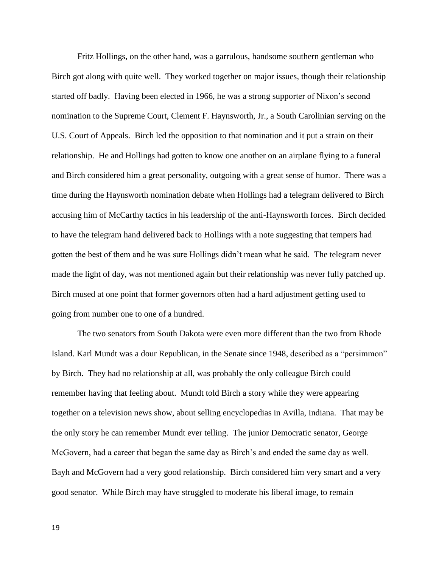Fritz Hollings, on the other hand, was a garrulous, handsome southern gentleman who Birch got along with quite well. They worked together on major issues, though their relationship started off badly. Having been elected in 1966, he was a strong supporter of Nixon's second nomination to the Supreme Court, Clement F. Haynsworth, Jr., a South Carolinian serving on the U.S. Court of Appeals. Birch led the opposition to that nomination and it put a strain on their relationship. He and Hollings had gotten to know one another on an airplane flying to a funeral and Birch considered him a great personality, outgoing with a great sense of humor. There was a time during the Haynsworth nomination debate when Hollings had a telegram delivered to Birch accusing him of McCarthy tactics in his leadership of the anti-Haynsworth forces. Birch decided to have the telegram hand delivered back to Hollings with a note suggesting that tempers had gotten the best of them and he was sure Hollings didn't mean what he said. The telegram never made the light of day, was not mentioned again but their relationship was never fully patched up. Birch mused at one point that former governors often had a hard adjustment getting used to going from number one to one of a hundred.

The two senators from South Dakota were even more different than the two from Rhode Island. Karl Mundt was a dour Republican, in the Senate since 1948, described as a "persimmon" by Birch. They had no relationship at all, was probably the only colleague Birch could remember having that feeling about. Mundt told Birch a story while they were appearing together on a television news show, about selling encyclopedias in Avilla, Indiana. That may be the only story he can remember Mundt ever telling. The junior Democratic senator, George McGovern, had a career that began the same day as Birch's and ended the same day as well. Bayh and McGovern had a very good relationship. Birch considered him very smart and a very good senator. While Birch may have struggled to moderate his liberal image, to remain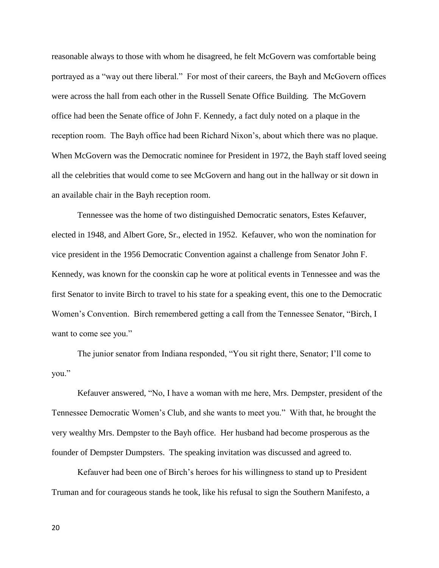reasonable always to those with whom he disagreed, he felt McGovern was comfortable being portrayed as a "way out there liberal." For most of their careers, the Bayh and McGovern offices were across the hall from each other in the Russell Senate Office Building. The McGovern office had been the Senate office of John F. Kennedy, a fact duly noted on a plaque in the reception room. The Bayh office had been Richard Nixon's, about which there was no plaque. When McGovern was the Democratic nominee for President in 1972, the Bayh staff loved seeing all the celebrities that would come to see McGovern and hang out in the hallway or sit down in an available chair in the Bayh reception room.

Tennessee was the home of two distinguished Democratic senators, Estes Kefauver, elected in 1948, and Albert Gore, Sr., elected in 1952. Kefauver, who won the nomination for vice president in the 1956 Democratic Convention against a challenge from Senator John F. Kennedy, was known for the coonskin cap he wore at political events in Tennessee and was the first Senator to invite Birch to travel to his state for a speaking event, this one to the Democratic Women's Convention. Birch remembered getting a call from the Tennessee Senator, "Birch, I want to come see you."

The junior senator from Indiana responded, "You sit right there, Senator; I'll come to you."

Kefauver answered, "No, I have a woman with me here, Mrs. Dempster, president of the Tennessee Democratic Women's Club, and she wants to meet you." With that, he brought the very wealthy Mrs. Dempster to the Bayh office. Her husband had become prosperous as the founder of Dempster Dumpsters. The speaking invitation was discussed and agreed to.

Kefauver had been one of Birch's heroes for his willingness to stand up to President Truman and for courageous stands he took, like his refusal to sign the Southern Manifesto, a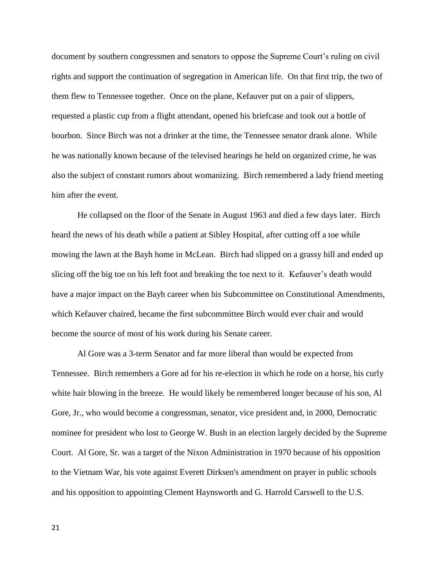document by southern congressmen and senators to oppose the Supreme Court's ruling on civil rights and support the continuation of segregation in American life. On that first trip, the two of them flew to Tennessee together. Once on the plane, Kefauver put on a pair of slippers, requested a plastic cup from a flight attendant, opened his briefcase and took out a bottle of bourbon. Since Birch was not a drinker at the time, the Tennessee senator drank alone. While he was nationally known because of the televised hearings he held on organized crime, he was also the subject of constant rumors about womanizing. Birch remembered a lady friend meeting him after the event.

He collapsed on the floor of the Senate in August 1963 and died a few days later. Birch heard the news of his death while a patient at Sibley Hospital, after cutting off a toe while mowing the lawn at the Bayh home in McLean. Birch had slipped on a grassy hill and ended up slicing off the big toe on his left foot and breaking the toe next to it. Kefauver's death would have a major impact on the Bayh career when his Subcommittee on Constitutional Amendments, which Kefauver chaired, became the first subcommittee Birch would ever chair and would become the source of most of his work during his Senate career.

Al Gore was a 3-term Senator and far more liberal than would be expected from Tennessee. Birch remembers a Gore ad for his re-election in which he rode on a horse, his curly white hair blowing in the breeze. He would likely be remembered longer because of his son, Al Gore, Jr., who would become a congressman, senator, vice president and, in 2000, Democratic nominee for president who lost to George W. Bush in an election largely decided by the Supreme Court. Al Gore, Sr. was a target of the Nixon Administration in 1970 because of his opposition to the Vietnam War, his vote against [Everett Dirksen's](http://en.wikipedia.org/wiki/Everett_Dirksen) amendment on prayer in public schools and his opposition to appointing [Clement Haynsworth](http://en.wikipedia.org/wiki/Clement_Haynsworth) and [G. Harrold Carswell](http://en.wikipedia.org/wiki/G._Harrold_Carswell) to the U.S.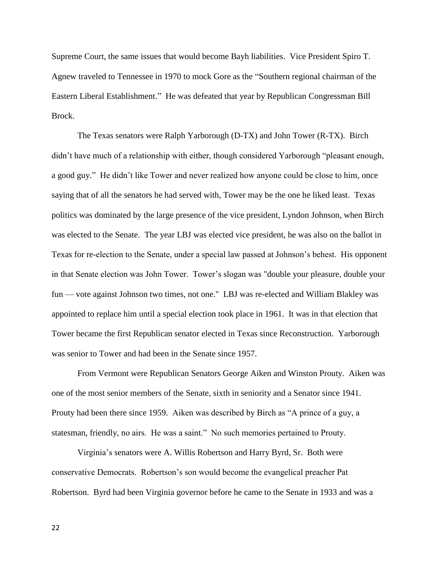Supreme Court, the same issues that would become Bayh liabilities. Vice President [Spiro T.](http://en.wikipedia.org/wiki/Spiro_T._Agnew)  [Agnew](http://en.wikipedia.org/wiki/Spiro_T._Agnew) traveled to Tennessee in 1970 to mock Gore as the "Southern regional chairman of the Eastern Liberal Establishment." He was defeated that year by Republican Congressman Bill Brock.

The Texas senators were Ralph Yarborough (D-TX) and John Tower (R-TX). Birch didn't have much of a relationship with either, though considered Yarborough "pleasant enough, a good guy." He didn't like Tower and never realized how anyone could be close to him, once saying that of all the senators he had served with, Tower may be the one he liked least. Texas politics was dominated by the large presence of the vice president, Lyndon Johnson, when Birch was elected to the Senate. The year LBJ was elected vice president, he was also on the ballot in Texas for re-election to the Senate, under a special law passed at Johnson's behest. His opponent in that Senate election was John Tower. Tower's slogan was "double your pleasure, double your fun — vote against Johnson two times, not one." LBJ was re-elected and William Blakley was appointed to replace him until a special election took place in 1961. It was in that election that Tower became the first Republican senator elected in Texas since Reconstruction. Yarborough was senior to Tower and had been in the Senate since 1957.

From Vermont were Republican Senators George Aiken and Winston Prouty. Aiken was one of the most senior members of the Senate, sixth in seniority and a Senator since 1941. Prouty had been there since 1959. Aiken was described by Birch as "A prince of a guy, a statesman, friendly, no airs. He was a saint." No such memories pertained to Prouty.

Virginia's senators were A. Willis Robertson and Harry Byrd, Sr. Both were conservative Democrats. Robertson's son would become the evangelical preacher Pat Robertson. Byrd had been Virginia governor before he came to the Senate in 1933 and was a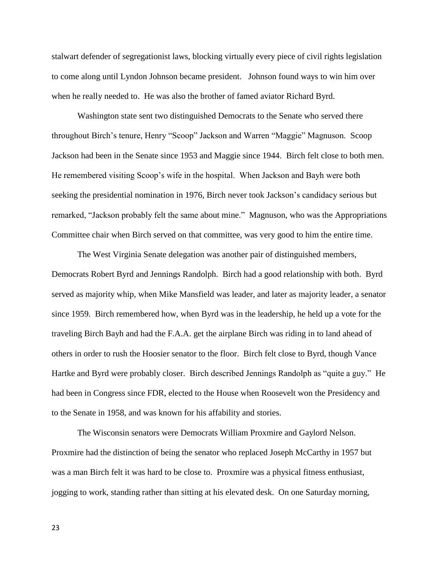stalwart defender of segregationist laws, blocking virtually every piece of civil rights legislation to come along until Lyndon Johnson became president. Johnson found ways to win him over when he really needed to. He was also the brother of famed aviator Richard Byrd.

Washington state sent two distinguished Democrats to the Senate who served there throughout Birch's tenure, Henry "Scoop" Jackson and Warren "Maggie" Magnuson. Scoop Jackson had been in the Senate since 1953 and Maggie since 1944. Birch felt close to both men. He remembered visiting Scoop's wife in the hospital. When Jackson and Bayh were both seeking the presidential nomination in 1976, Birch never took Jackson's candidacy serious but remarked, "Jackson probably felt the same about mine." Magnuson, who was the Appropriations Committee chair when Birch served on that committee, was very good to him the entire time.

The West Virginia Senate delegation was another pair of distinguished members, Democrats Robert Byrd and Jennings Randolph. Birch had a good relationship with both. Byrd served as majority whip, when Mike Mansfield was leader, and later as majority leader, a senator since 1959. Birch remembered how, when Byrd was in the leadership, he held up a vote for the traveling Birch Bayh and had the F.A.A. get the airplane Birch was riding in to land ahead of others in order to rush the Hoosier senator to the floor. Birch felt close to Byrd, though Vance Hartke and Byrd were probably closer. Birch described Jennings Randolph as "quite a guy." He had been in Congress since FDR, elected to the House when Roosevelt won the Presidency and to the Senate in 1958, and was known for his affability and stories.

The Wisconsin senators were Democrats William Proxmire and Gaylord Nelson. Proxmire had the distinction of being the senator who replaced Joseph McCarthy in 1957 but was a man Birch felt it was hard to be close to. Proxmire was a physical fitness enthusiast, jogging to work, standing rather than sitting at his elevated desk. On one Saturday morning,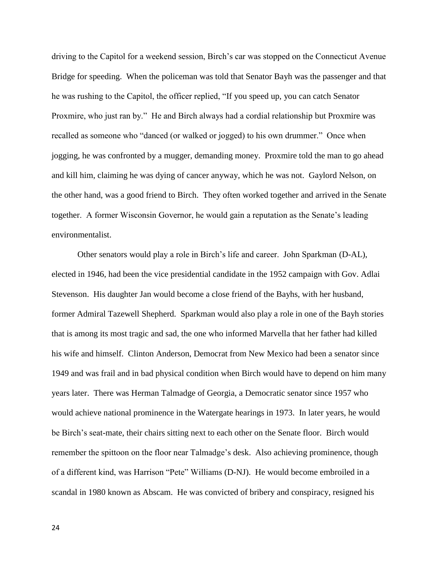driving to the Capitol for a weekend session, Birch's car was stopped on the Connecticut Avenue Bridge for speeding. When the policeman was told that Senator Bayh was the passenger and that he was rushing to the Capitol, the officer replied, "If you speed up, you can catch Senator Proxmire, who just ran by." He and Birch always had a cordial relationship but Proxmire was recalled as someone who "danced (or walked or jogged) to his own drummer." Once when jogging, he was confronted by a mugger, demanding money. Proxmire told the man to go ahead and kill him, claiming he was dying of cancer anyway, which he was not. Gaylord Nelson, on the other hand, was a good friend to Birch. They often worked together and arrived in the Senate together. A former Wisconsin Governor, he would gain a reputation as the Senate's leading environmentalist.

Other senators would play a role in Birch's life and career. John Sparkman (D-AL), elected in 1946, had been the vice presidential candidate in the 1952 campaign with Gov. Adlai Stevenson. His daughter Jan would become a close friend of the Bayhs, with her husband, former Admiral Tazewell Shepherd. Sparkman would also play a role in one of the Bayh stories that is among its most tragic and sad, the one who informed Marvella that her father had killed his wife and himself. Clinton Anderson, Democrat from New Mexico had been a senator since 1949 and was frail and in bad physical condition when Birch would have to depend on him many years later. There was Herman Talmadge of Georgia, a Democratic senator since 1957 who would achieve national prominence in the Watergate hearings in 1973. In later years, he would be Birch's seat-mate, their chairs sitting next to each other on the Senate floor. Birch would remember the spittoon on the floor near Talmadge's desk. Also achieving prominence, though of a different kind, was Harrison "Pete" Williams (D-NJ). He would become embroiled in a scandal in 1980 known as Abscam. He was convicted of bribery and conspiracy, resigned his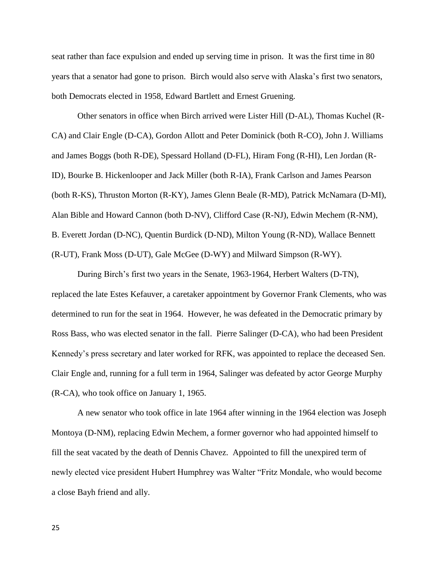seat rather than face expulsion and ended up serving time in prison. It was the first time in 80 years that a senator had gone to prison. Birch would also serve with Alaska's first two senators, both Democrats elected in 1958, Edward Bartlett and Ernest Gruening.

Other senators in office when Birch arrived were Lister Hill (D-AL), Thomas Kuchel (R-CA) and Clair Engle (D-CA), Gordon Allott and Peter Dominick (both R-CO), John J. Williams and James Boggs (both R-DE), Spessard Holland (D-FL), Hiram Fong (R-HI), Len Jordan (R-ID), Bourke B. Hickenlooper and Jack Miller (both R-IA), Frank Carlson and James Pearson (both R-KS), Thruston Morton (R-KY), James Glenn Beale (R-MD), Patrick McNamara (D-MI), Alan Bible and Howard Cannon (both D-NV), Clifford Case (R-NJ), Edwin Mechem (R-NM), B. Everett Jordan (D-NC), Quentin Burdick (D-ND), Milton Young (R-ND), Wallace Bennett (R-UT), Frank Moss (D-UT), Gale McGee (D-WY) and Milward Simpson (R-WY).

During Birch's first two years in the Senate, 1963-1964, Herbert Walters (D-TN), replaced the late Estes Kefauver, a caretaker appointment by Governor Frank Clements, who was determined to run for the seat in 1964. However, he was defeated in the Democratic primary by Ross Bass, who was elected senator in the fall. Pierre Salinger (D-CA), who had been President Kennedy's press secretary and later worked for RFK, was appointed to replace the deceased Sen. Clair Engle and, running for a full term in 1964, Salinger was defeated by actor George Murphy (R-CA), who took office on January 1, 1965.

A new senator who took office in late 1964 after winning in the 1964 election was Joseph Montoya (D-NM), replacing Edwin Mechem, a former governor who had appointed himself to fill the seat vacated by the death of Dennis Chavez. Appointed to fill the unexpired term of newly elected vice president Hubert Humphrey was Walter "Fritz Mondale, who would become a close Bayh friend and ally.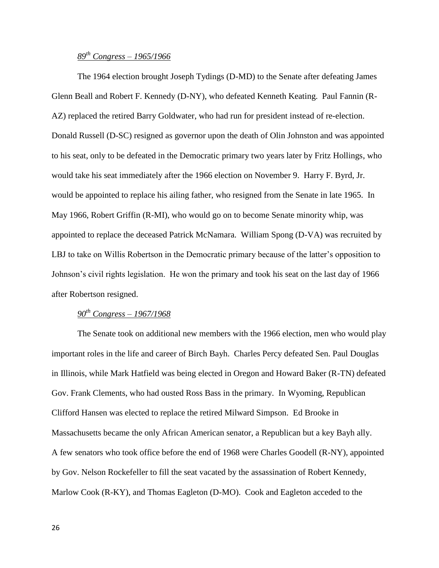# *89th Congress – 1965/1966*

The 1964 election brought Joseph Tydings (D-MD) to the Senate after defeating James Glenn Beall and Robert F. Kennedy (D-NY), who defeated Kenneth Keating. Paul Fannin (R-AZ) replaced the retired Barry Goldwater, who had run for president instead of re-election. Donald Russell (D-SC) resigned as governor upon the death of Olin Johnston and was appointed to his seat, only to be defeated in the Democratic primary two years later by Fritz Hollings, who would take his seat immediately after the 1966 election on November 9. Harry F. Byrd, Jr. would be appointed to replace his ailing father, who resigned from the Senate in late 1965. In May 1966, Robert Griffin (R-MI), who would go on to become Senate minority whip, was appointed to replace the deceased Patrick McNamara. William Spong (D-VA) was recruited by LBJ to take on Willis Robertson in the Democratic primary because of the latter's opposition to Johnson's civil rights legislation. He won the primary and took his seat on the last day of 1966 after Robertson resigned.

# *90th Congress – 1967/1968*

The Senate took on additional new members with the 1966 election, men who would play important roles in the life and career of Birch Bayh. Charles Percy defeated Sen. Paul Douglas in Illinois, while Mark Hatfield was being elected in Oregon and Howard Baker (R-TN) defeated Gov. Frank Clements, who had ousted Ross Bass in the primary. In Wyoming, Republican Clifford Hansen was elected to replace the retired Milward Simpson. Ed Brooke in Massachusetts became the only African American senator, a Republican but a key Bayh ally. A few senators who took office before the end of 1968 were Charles Goodell (R-NY), appointed by Gov. Nelson Rockefeller to fill the seat vacated by the assassination of Robert Kennedy, Marlow Cook (R-KY), and Thomas Eagleton (D-MO). Cook and Eagleton acceded to the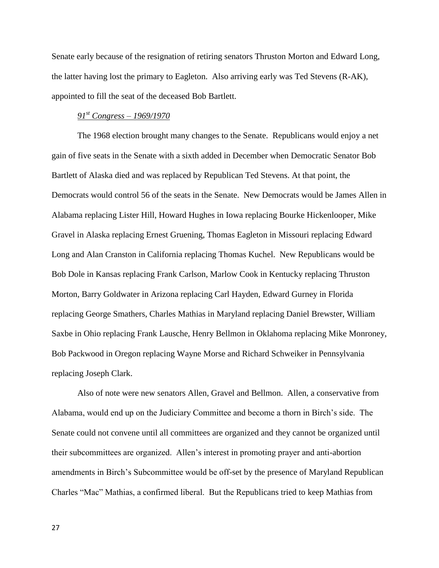Senate early because of the resignation of retiring senators Thruston Morton and Edward Long, the latter having lost the primary to Eagleton. Also arriving early was Ted Stevens (R-AK), appointed to fill the seat of the deceased Bob Bartlett.

## *91st Congress – 1969/1970*

The 1968 election brought many changes to the Senate. Republicans would enjoy a net gain of five seats in the Senate with a sixth added in December when Democratic Senator Bob Bartlett of Alaska died and was replaced by Republican Ted Stevens. At that point, the Democrats would control 56 of the seats in the Senate. New Democrats would be James Allen in Alabama replacing Lister Hill, Howard Hughes in Iowa replacing Bourke Hickenlooper, Mike Gravel in Alaska replacing Ernest Gruening, Thomas Eagleton in Missouri replacing Edward Long and Alan Cranston in California replacing Thomas Kuchel. New Republicans would be Bob Dole in Kansas replacing Frank Carlson, Marlow Cook in Kentucky replacing Thruston Morton, Barry Goldwater in Arizona replacing Carl Hayden, Edward Gurney in Florida replacing George Smathers, Charles Mathias in Maryland replacing Daniel Brewster, William Saxbe in Ohio replacing Frank Lausche, Henry Bellmon in Oklahoma replacing Mike Monroney, Bob Packwood in Oregon replacing Wayne Morse and Richard Schweiker in Pennsylvania replacing Joseph Clark.

Also of note were new senators Allen, Gravel and Bellmon. Allen, a conservative from Alabama, would end up on the Judiciary Committee and become a thorn in Birch's side. The Senate could not convene until all committees are organized and they cannot be organized until their subcommittees are organized. Allen's interest in promoting prayer and anti-abortion amendments in Birch's Subcommittee would be off-set by the presence of Maryland Republican Charles "Mac" Mathias, a confirmed liberal. But the Republicans tried to keep Mathias from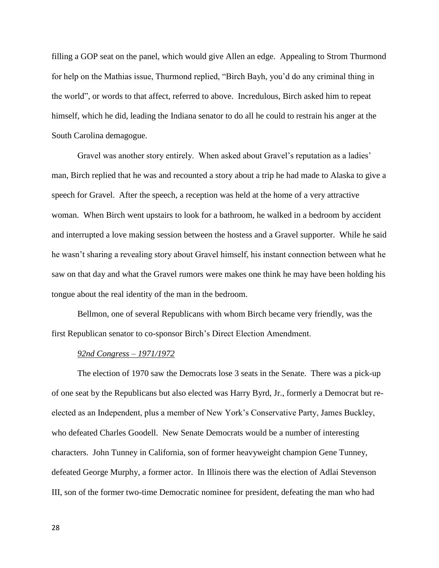filling a GOP seat on the panel, which would give Allen an edge. Appealing to Strom Thurmond for help on the Mathias issue, Thurmond replied, "Birch Bayh, you'd do any criminal thing in the world", or words to that affect, referred to above. Incredulous, Birch asked him to repeat himself, which he did, leading the Indiana senator to do all he could to restrain his anger at the South Carolina demagogue.

Gravel was another story entirely. When asked about Gravel's reputation as a ladies' man, Birch replied that he was and recounted a story about a trip he had made to Alaska to give a speech for Gravel. After the speech, a reception was held at the home of a very attractive woman. When Birch went upstairs to look for a bathroom, he walked in a bedroom by accident and interrupted a love making session between the hostess and a Gravel supporter. While he said he wasn't sharing a revealing story about Gravel himself, his instant connection between what he saw on that day and what the Gravel rumors were makes one think he may have been holding his tongue about the real identity of the man in the bedroom.

Bellmon, one of several Republicans with whom Birch became very friendly, was the first Republican senator to co-sponsor Birch's Direct Election Amendment.

### *92nd Congress – 1971/1972*

The election of 1970 saw the Democrats lose 3 seats in the Senate. There was a pick-up of one seat by the Republicans but also elected was Harry Byrd, Jr., formerly a Democrat but reelected as an Independent, plus a member of New York's Conservative Party, James Buckley, who defeated Charles Goodell. New Senate Democrats would be a number of interesting characters. John Tunney in California, son of former heavyweight champion Gene Tunney, defeated George Murphy, a former actor. In Illinois there was the election of Adlai Stevenson III, son of the former two-time Democratic nominee for president, defeating the man who had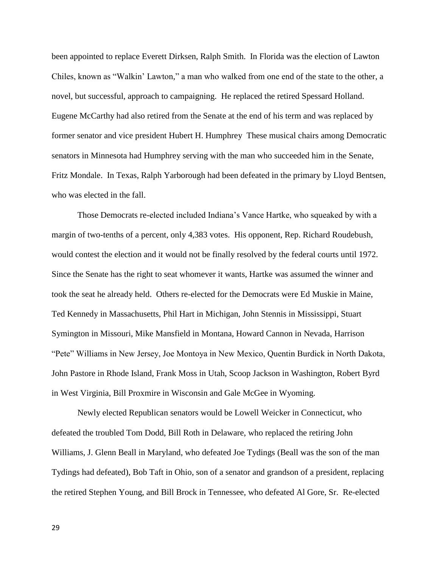been appointed to replace Everett Dirksen, Ralph Smith. In Florida was the election of Lawton Chiles, known as "Walkin' Lawton," a man who walked from one end of the state to the other, a novel, but successful, approach to campaigning. He replaced the retired Spessard Holland. Eugene McCarthy had also retired from the Senate at the end of his term and was replaced by former senator and vice president Hubert H. Humphrey These musical chairs among Democratic senators in Minnesota had Humphrey serving with the man who succeeded him in the Senate, Fritz Mondale. In Texas, Ralph Yarborough had been defeated in the primary by Lloyd Bentsen, who was elected in the fall.

Those Democrats re-elected included Indiana's Vance Hartke, who squeaked by with a margin of two-tenths of a percent, only 4,383 votes. His opponent, Rep. Richard Roudebush, would contest the election and it would not be finally resolved by the federal courts until 1972. Since the Senate has the right to seat whomever it wants, Hartke was assumed the winner and took the seat he already held. Others re-elected for the Democrats were Ed Muskie in Maine, Ted Kennedy in Massachusetts, Phil Hart in Michigan, John Stennis in Mississippi, Stuart Symington in Missouri, Mike Mansfield in Montana, Howard Cannon in Nevada, Harrison "Pete" Williams in New Jersey, Joe Montoya in New Mexico, Quentin Burdick in North Dakota, John Pastore in Rhode Island, Frank Moss in Utah, Scoop Jackson in Washington, Robert Byrd in West Virginia, Bill Proxmire in Wisconsin and Gale McGee in Wyoming.

Newly elected Republican senators would be Lowell Weicker in Connecticut, who defeated the troubled Tom Dodd, Bill Roth in Delaware, who replaced the retiring John Williams, J. Glenn Beall in Maryland, who defeated Joe Tydings (Beall was the son of the man Tydings had defeated), Bob Taft in Ohio, son of a senator and grandson of a president, replacing the retired Stephen Young, and Bill Brock in Tennessee, who defeated Al Gore, Sr. Re-elected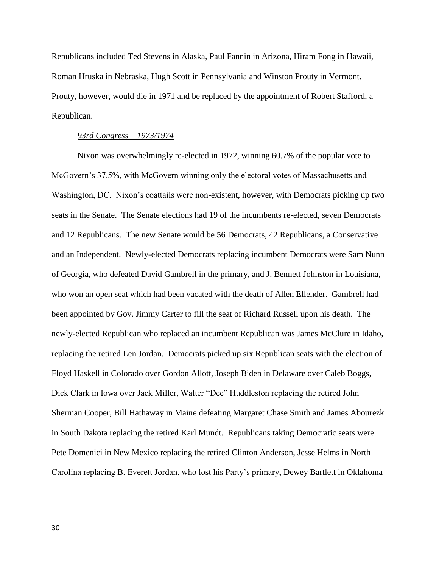Republicans included Ted Stevens in Alaska, Paul Fannin in Arizona, Hiram Fong in Hawaii, Roman Hruska in Nebraska, Hugh Scott in Pennsylvania and Winston Prouty in Vermont. Prouty, however, would die in 1971 and be replaced by the appointment of Robert Stafford, a Republican.

### *93rd Congress – 1973/1974*

Nixon was overwhelmingly re-elected in 1972, winning 60.7% of the popular vote to McGovern's 37.5%, with McGovern winning only the electoral votes of Massachusetts and Washington, DC. Nixon's coattails were non-existent, however, with Democrats picking up two seats in the Senate. The Senate elections had 19 of the incumbents re-elected, seven Democrats and 12 Republicans. The new Senate would be 56 Democrats, 42 Republicans, a Conservative and an Independent. Newly-elected Democrats replacing incumbent Democrats were Sam Nunn of Georgia, who defeated David Gambrell in the primary, and J. Bennett Johnston in Louisiana, who won an open seat which had been vacated with the death of Allen Ellender. Gambrell had been appointed by Gov. Jimmy Carter to fill the seat of Richard Russell upon his death. The newly-elected Republican who replaced an incumbent Republican was James McClure in Idaho, replacing the retired Len Jordan. Democrats picked up six Republican seats with the election of Floyd Haskell in Colorado over Gordon Allott, Joseph Biden in Delaware over Caleb Boggs, Dick Clark in Iowa over Jack Miller, Walter "Dee" Huddleston replacing the retired John Sherman Cooper, Bill Hathaway in Maine defeating Margaret Chase Smith and James Abourezk in South Dakota replacing the retired Karl Mundt. Republicans taking Democratic seats were Pete Domenici in New Mexico replacing the retired Clinton Anderson, Jesse Helms in North Carolina replacing B. Everett Jordan, who lost his Party's primary, Dewey Bartlett in Oklahoma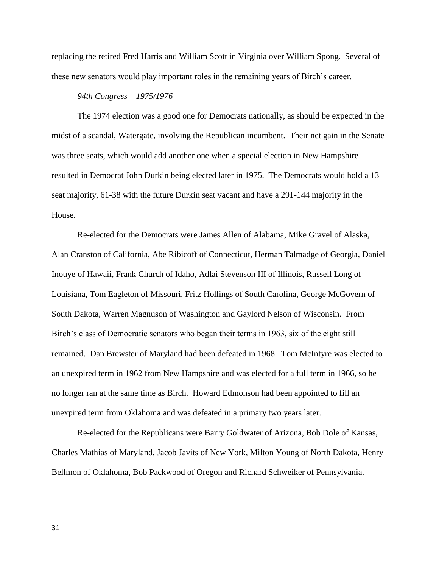replacing the retired Fred Harris and William Scott in Virginia over William Spong. Several of these new senators would play important roles in the remaining years of Birch's career.

### *94th Congress – 1975/1976*

The 1974 election was a good one for Democrats nationally, as should be expected in the midst of a scandal, Watergate, involving the Republican incumbent. Their net gain in the Senate was three seats, which would add another one when a special election in New Hampshire resulted in Democrat John Durkin being elected later in 1975. The Democrats would hold a 13 seat majority, 61-38 with the future Durkin seat vacant and have a 291-144 majority in the House.

Re-elected for the Democrats were James Allen of Alabama, Mike Gravel of Alaska, Alan Cranston of California, Abe Ribicoff of Connecticut, Herman Talmadge of Georgia, Daniel Inouye of Hawaii, Frank Church of Idaho, Adlai Stevenson III of Illinois, Russell Long of Louisiana, Tom Eagleton of Missouri, Fritz Hollings of South Carolina, George McGovern of South Dakota, Warren Magnuson of Washington and Gaylord Nelson of Wisconsin. From Birch's class of Democratic senators who began their terms in 1963, six of the eight still remained. Dan Brewster of Maryland had been defeated in 1968. Tom McIntyre was elected to an unexpired term in 1962 from New Hampshire and was elected for a full term in 1966, so he no longer ran at the same time as Birch. Howard Edmonson had been appointed to fill an unexpired term from Oklahoma and was defeated in a primary two years later.

Re-elected for the Republicans were Barry Goldwater of Arizona, Bob Dole of Kansas, Charles Mathias of Maryland, Jacob Javits of New York, Milton Young of North Dakota, Henry Bellmon of Oklahoma, Bob Packwood of Oregon and Richard Schweiker of Pennsylvania.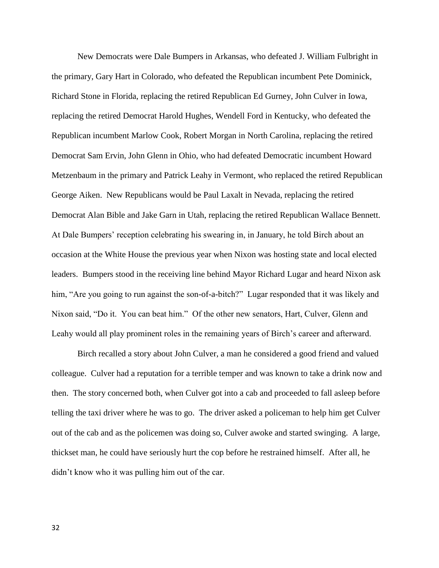New Democrats were Dale Bumpers in Arkansas, who defeated J. William Fulbright in the primary, Gary Hart in Colorado, who defeated the Republican incumbent Pete Dominick, Richard Stone in Florida, replacing the retired Republican Ed Gurney, John Culver in Iowa, replacing the retired Democrat Harold Hughes, Wendell Ford in Kentucky, who defeated the Republican incumbent Marlow Cook, Robert Morgan in North Carolina, replacing the retired Democrat Sam Ervin, John Glenn in Ohio, who had defeated Democratic incumbent Howard Metzenbaum in the primary and Patrick Leahy in Vermont, who replaced the retired Republican George Aiken. New Republicans would be Paul Laxalt in Nevada, replacing the retired Democrat Alan Bible and Jake Garn in Utah, replacing the retired Republican Wallace Bennett. At Dale Bumpers' reception celebrating his swearing in, in January, he told Birch about an occasion at the White House the previous year when Nixon was hosting state and local elected leaders. Bumpers stood in the receiving line behind Mayor Richard Lugar and heard Nixon ask him, "Are you going to run against the son-of-a-bitch?" Lugar responded that it was likely and Nixon said, "Do it. You can beat him." Of the other new senators, Hart, Culver, Glenn and Leahy would all play prominent roles in the remaining years of Birch's career and afterward.

Birch recalled a story about John Culver, a man he considered a good friend and valued colleague. Culver had a reputation for a terrible temper and was known to take a drink now and then. The story concerned both, when Culver got into a cab and proceeded to fall asleep before telling the taxi driver where he was to go. The driver asked a policeman to help him get Culver out of the cab and as the policemen was doing so, Culver awoke and started swinging. A large, thickset man, he could have seriously hurt the cop before he restrained himself. After all, he didn't know who it was pulling him out of the car.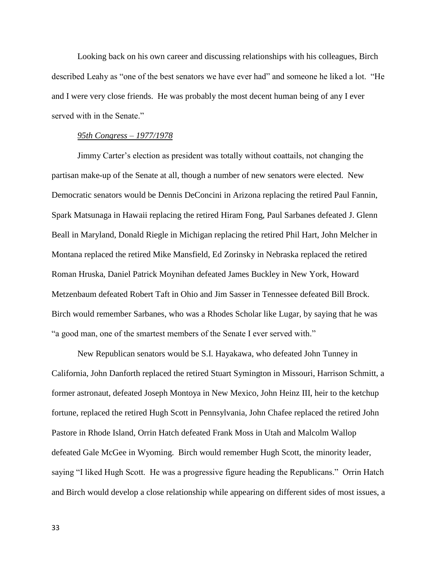Looking back on his own career and discussing relationships with his colleagues, Birch described Leahy as "one of the best senators we have ever had" and someone he liked a lot. "He and I were very close friends. He was probably the most decent human being of any I ever served with in the Senate."

### *95th Congress – 1977/1978*

Jimmy Carter's election as president was totally without coattails, not changing the partisan make-up of the Senate at all, though a number of new senators were elected. New Democratic senators would be Dennis DeConcini in Arizona replacing the retired Paul Fannin, Spark Matsunaga in Hawaii replacing the retired Hiram Fong, Paul Sarbanes defeated J. Glenn Beall in Maryland, Donald Riegle in Michigan replacing the retired Phil Hart, John Melcher in Montana replaced the retired Mike Mansfield, Ed Zorinsky in Nebraska replaced the retired Roman Hruska, Daniel Patrick Moynihan defeated James Buckley in New York, Howard Metzenbaum defeated Robert Taft in Ohio and Jim Sasser in Tennessee defeated Bill Brock. Birch would remember Sarbanes, who was a Rhodes Scholar like Lugar, by saying that he was "a good man, one of the smartest members of the Senate I ever served with."

New Republican senators would be S.I. Hayakawa, who defeated John Tunney in California, John Danforth replaced the retired Stuart Symington in Missouri, Harrison Schmitt, a former astronaut, defeated Joseph Montoya in New Mexico, John Heinz III, heir to the ketchup fortune, replaced the retired Hugh Scott in Pennsylvania, John Chafee replaced the retired John Pastore in Rhode Island, Orrin Hatch defeated Frank Moss in Utah and Malcolm Wallop defeated Gale McGee in Wyoming. Birch would remember Hugh Scott, the minority leader, saying "I liked Hugh Scott. He was a progressive figure heading the Republicans." Orrin Hatch and Birch would develop a close relationship while appearing on different sides of most issues, a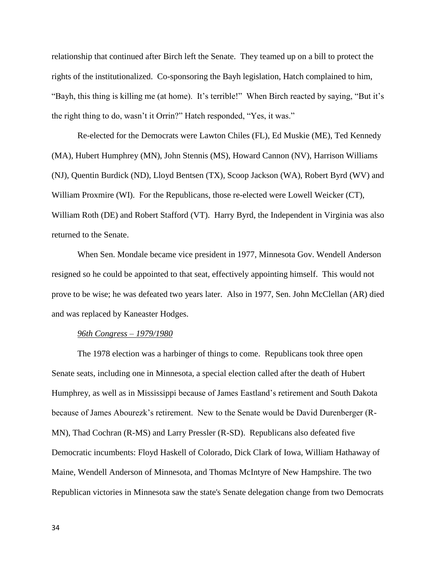relationship that continued after Birch left the Senate. They teamed up on a bill to protect the rights of the institutionalized. Co-sponsoring the Bayh legislation, Hatch complained to him, "Bayh, this thing is killing me (at home). It's terrible!" When Birch reacted by saying, "But it's the right thing to do, wasn't it Orrin?" Hatch responded, "Yes, it was."

Re-elected for the Democrats were Lawton Chiles (FL), Ed Muskie (ME), Ted Kennedy (MA), Hubert Humphrey (MN), John Stennis (MS), Howard Cannon (NV), Harrison Williams (NJ), Quentin Burdick (ND), Lloyd Bentsen (TX), Scoop Jackson (WA), Robert Byrd (WV) and William Proxmire (WI). For the Republicans, those re-elected were Lowell Weicker (CT), William Roth (DE) and Robert Stafford (VT). Harry Byrd, the Independent in Virginia was also returned to the Senate.

When Sen. Mondale became vice president in 1977, Minnesota Gov. Wendell Anderson resigned so he could be appointed to that seat, effectively appointing himself. This would not prove to be wise; he was defeated two years later. Also in 1977, Sen. John McClellan (AR) died and was replaced by Kaneaster Hodges.

#### *96th Congress – 1979/1980*

The 1978 election was a harbinger of things to come. Republicans took three open Senate seats, including one in [Minnesota,](http://en.wikipedia.org/wiki/Minnesota) a special election called after the death of [Hubert](http://en.wikipedia.org/wiki/Hubert_Humphrey)  [Humphrey,](http://en.wikipedia.org/wiki/Hubert_Humphrey) as well as in [Mississippi](http://en.wikipedia.org/wiki/Mississippi) because of James Eastland's retirement and [South Dakota](http://en.wikipedia.org/wiki/South_Dakota) because of James Abourezk's retirement. New to the Senate would be David Durenberger (R-MN), Thad Cochran (R-MS) and Larry Pressler (R-SD). Republicans also defeated five Democratic incumbents: [Floyd Haskell](http://en.wikipedia.org/wiki/Floyd_Haskell) of Colorado, [Dick Clark](http://en.wikipedia.org/wiki/Dick_Clark_(Senator)) of Iowa, [William Hathaway](http://en.wikipedia.org/wiki/William_Hathaway) of Maine, [Wendell Anderson o](http://en.wikipedia.org/wiki/Wendell_Anderson)f Minnesota, and [Thomas McIntyre](http://en.wikipedia.org/wiki/Thomas_J._McIntyre) of New Hampshire. The two Republican victories in Minnesota saw the state's Senate delegation change from two Democrats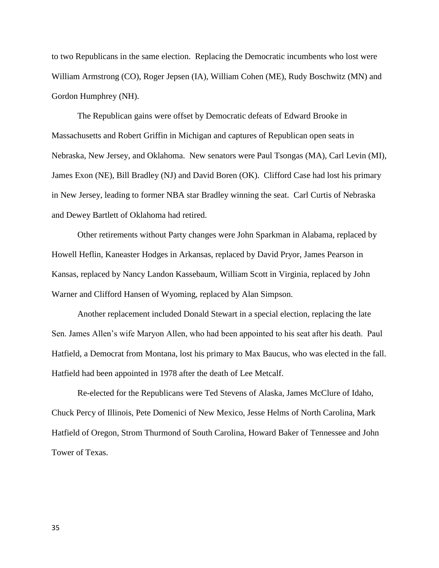to two Republicans in the same election. Replacing the Democratic incumbents who lost were William Armstrong (CO), Roger Jepsen (IA), William Cohen (ME), Rudy Boschwitz (MN) and Gordon Humphrey (NH).

The Republican gains were offset by Democratic defeats of [Edward Brooke](http://en.wikipedia.org/wiki/Edward_Brooke) in Massachusetts and [Robert Griffin](http://en.wikipedia.org/wiki/Robert_P._Griffin) in Michigan and captures of Republican open seats in Nebraska, New Jersey, and Oklahoma. New senators were Paul Tsongas (MA), Carl Levin (MI), James Exon (NE), Bill Bradley (NJ) and David Boren (OK). Clifford Case had lost his primary in New Jersey, leading to former NBA star Bradley winning the seat. Carl Curtis of Nebraska and Dewey Bartlett of Oklahoma had retired.

Other retirements without Party changes were John Sparkman in Alabama, replaced by Howell Heflin, Kaneaster Hodges in Arkansas, replaced by David Pryor, James Pearson in Kansas, replaced by Nancy Landon Kassebaum, William Scott in Virginia, replaced by John Warner and Clifford Hansen of Wyoming, replaced by Alan Simpson.

Another replacement included Donald Stewart in a special election, replacing the late Sen. James Allen's wife Maryon Allen, who had been appointed to his seat after his death. Paul Hatfield, a Democrat from Montana, lost his primary to Max Baucus, who was elected in the fall. Hatfield had been appointed in 1978 after the death of Lee Metcalf.

Re-elected for the Republicans were Ted Stevens of Alaska, James McClure of Idaho, Chuck Percy of Illinois, Pete Domenici of New Mexico, Jesse Helms of North Carolina, Mark Hatfield of Oregon, Strom Thurmond of South Carolina, Howard Baker of Tennessee and John Tower of Texas.